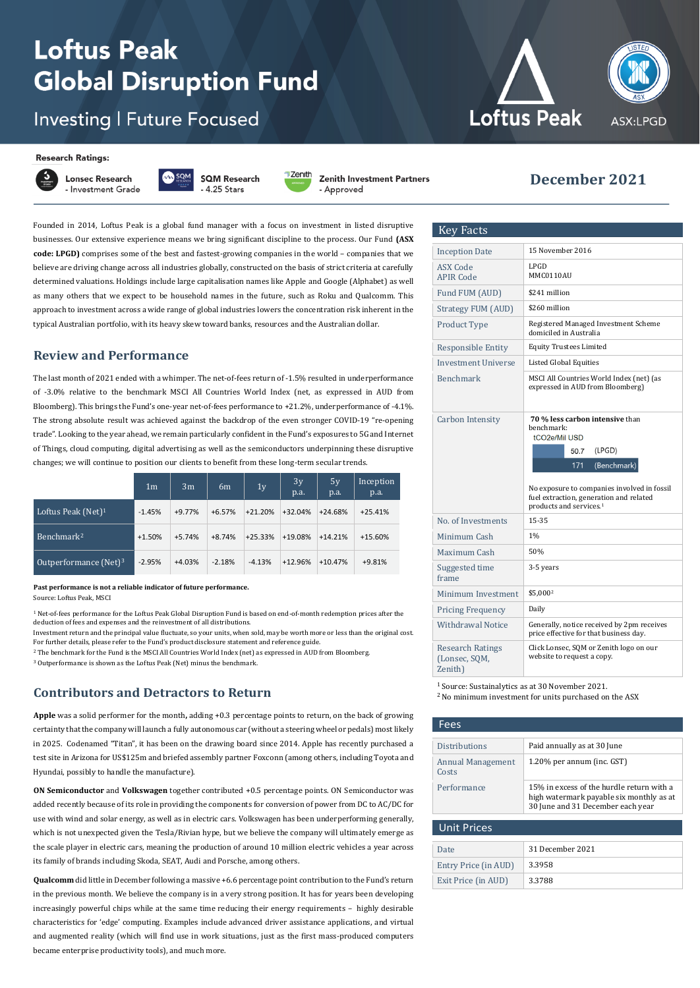## **Loftus Peak Global Disruption Fund**

### **Investing | Future Focused**

#### **Research Ratings:**

**Lonsec Research** - Investment Grade **SQM Research**  $4.25$  Stars



Zenith Investment Partners

- Approved

Founded in 2014, Loftus Peak is a global fund manager with a focus on investment in listed disruptive businesses. Our extensive experience means we bring significant discipline to the process. Our Fund **(ASX code: LPGD)** comprises some of the best and fastest-growing companies in the world – companies that we believe are driving change across all industries globally, constructed on the basis of strict criteria at carefully determined valuations. Holdings include large capitalisation names like Apple and Google (Alphabet) as well as many others that we expect to be household names in the future, such as Roku and Qualcomm. This approach to investment across a wide range of global industries lowers the concentration risk inherent in the typical Australian portfolio, with its heavy skew toward banks, resources and the Australian dollar.

#### **Review and Performance**

The last month of 2021 ended with a whimper. The net-of-fees return of -1.5% resulted in underperformance of -3.0% relative to the benchmark MSCI All Countries World Index (net, as expressed in AUD from Bloomberg). This brings the Fund's one-year net-of-fees performance to +21.2%, underperformance of -4.1%. The strong absolute result was achieved against the backdrop of the even stronger COVID-19 "re-opening trade". Looking to the year ahead, we remain particularly confident in the Fund's exposures to 5G and Internet of Things, cloud computing, digital advertising as well as the semiconductors underpinning these disruptive changes; we will continue to position our clients to benefit from these long-term secular trends.

|                          | 1 <sub>m</sub> | 3 <sub>m</sub> | 6 <sub>m</sub> | 1 <sub>y</sub> | 3y<br>p.a. | 5y<br>p.a. | Inception<br>p.a. |
|--------------------------|----------------|----------------|----------------|----------------|------------|------------|-------------------|
| Loftus Peak (Net) $1$    | $-1.45%$       | $+9.77%$       | $+6.57%$       | $+21.20%$      | $+32.04%$  | $+24.68%$  | $+25.41%$         |
| Benchmark <sup>2</sup>   | $+1.50%$       | $+5.74%$       | $+8.74%$       | $+25.33%$      | +19.08%    | $+14.21%$  | +15.60%           |
| Outperformance $(Net)^3$ | $-2.95%$       | $+4.03%$       | $-2.18%$       | $-4.13%$       | $+12.96%$  | $+10.47%$  | $+9.81%$          |

#### **Past performance is not a reliable indicator of future performance.**

Source: Loftus Peak, MSCI

 $1$  Net-of-fees performance for the Loftus Peak Global Disruption Fund is based on end-of-month redemption prices after the deduction of fees and expenses and the reinvestment of all distributions.

Investment return and the principal value fluctuate, so your units, when sold, may be worth more or less than the original cost. For further details, please refer to the Fund's product disclosure statement and reference guide.

<sup>2</sup> The benchmark for the Fund is the MSCI All Countries World Index (net) as expressed in AUD from Bloomberg.

<sup>3</sup> Outperformance is shown as the Loftus Peak (Net) minus the benchmark.

#### **Contributors and Detractors to Return**

**Apple** was a solid performer for the month**,** adding +0.3 percentage points to return, on the back of growing certainty that the company will launch a fully autonomous car (without a steering wheel or pedals) most likely in 2025. Codenamed "Titan", it has been on the drawing board since 2014. Apple has recently purchased a test site in Arizona for US\$125m and briefed assembly partner Foxconn (among others, including Toyota and Hyundai, possibly to handle the manufacture).

**ON Semiconductor** and **Volkswagen** together contributed +0.5 percentage points. ON Semiconductor was added recently because of its role in providing the components for conversion of power from DC to AC/DC for use with wind and solar energy, as well as in electric cars. Volkswagen has been underperforming generally, which is not unexpected given the Tesla/Rivian hype, but we believe the company will ultimately emerge as the scale player in electric cars, meaning the production of around 10 million electric vehicles a year across its family of brands including Skoda, SEAT, Audi and Porsche, among others.

**Qualcomm** did little in December following a massive +6.6 percentage point contribution to the Fund's return in the previous month. We believe the company is in a very strong position. It has for years been developing increasingly powerful chips while at the same time reducing their energy requirements – highly desirable characteristics for 'edge' computing. Examples include advanced driver assistance applications, and virtual and augmented reality (which will find use in work situations, just as the first mass-produced computers became enterprise productivity tools), and much more.



# ASX:LPGD

#### November <sup>2021</sup> **December 2021**

| <b>Key Facts</b>                                    |                                                                                                                               |  |  |  |  |
|-----------------------------------------------------|-------------------------------------------------------------------------------------------------------------------------------|--|--|--|--|
| <b>Inception Date</b>                               | 15 November 2016                                                                                                              |  |  |  |  |
| ASX Code<br><b>APIR Code</b>                        | LPGD<br>MMC0110AU                                                                                                             |  |  |  |  |
| Fund FUM (AUD)                                      | \$241 million                                                                                                                 |  |  |  |  |
| Strategy FUM (AUD)                                  | \$260 million                                                                                                                 |  |  |  |  |
| Product Type                                        | Registered Managed Investment Scheme<br>domiciled in Australia                                                                |  |  |  |  |
| <b>Responsible Entity</b>                           | Equity Trustees Limited                                                                                                       |  |  |  |  |
| Investment Universe                                 | Listed Global Equities                                                                                                        |  |  |  |  |
| <b>Benchmark</b>                                    | MSCI All Countries World Index (net) (as<br>expressed in AUD from Bloomberg)                                                  |  |  |  |  |
| <b>Carbon Intensity</b>                             | 70 % less carbon intensive than<br>benchmark:<br>tCO2e/Mil USD<br>50.7<br>(LPGD)<br>(Benchmark)<br>171                        |  |  |  |  |
|                                                     | No exposure to companies involved in fossil<br>fuel extraction, generation and related<br>products and services. <sup>1</sup> |  |  |  |  |
| No. of Investments                                  | 15-35                                                                                                                         |  |  |  |  |
| Minimum Cash                                        | 1%                                                                                                                            |  |  |  |  |
| Maximum Cash                                        | 50%                                                                                                                           |  |  |  |  |
| Suggested time<br>frame                             | 3-5 years                                                                                                                     |  |  |  |  |
| Minimum Investment                                  | \$5,000 <sup>2</sup>                                                                                                          |  |  |  |  |
| <b>Pricing Frequency</b>                            | Daily                                                                                                                         |  |  |  |  |
| <b>Withdrawal Notice</b>                            | Generally, notice received by 2pm receives<br>price effective for that business day.                                          |  |  |  |  |
| <b>Research Ratings</b><br>(Lonsec, SQM,<br>Zenith) | Click Lonsec, SQM or Zenith logo on our<br>website to request a copy.                                                         |  |  |  |  |

<sup>1</sup>Source: Sustainalytics as at 30 November 2021. <sup>2</sup>No minimum investment for units purchased on the ASX

| Fees                       |                                                                                                                            |  |  |  |
|----------------------------|----------------------------------------------------------------------------------------------------------------------------|--|--|--|
| <b>Distributions</b>       | Paid annually as at 30 June                                                                                                |  |  |  |
| Annual Management<br>Costs | 1.20% per annum (inc. GST)                                                                                                 |  |  |  |
| Performance                | 15% in excess of the hurdle return with a<br>high watermark payable six monthly as at<br>30 June and 31 December each year |  |  |  |
| <b>Unit Prices</b>         |                                                                                                                            |  |  |  |
| <b>Date</b>                | 31 December 2021                                                                                                           |  |  |  |
| Entry Price (in AUD)       | 3.3958                                                                                                                     |  |  |  |
| Exit Price (in AUD)        | 3.3788                                                                                                                     |  |  |  |